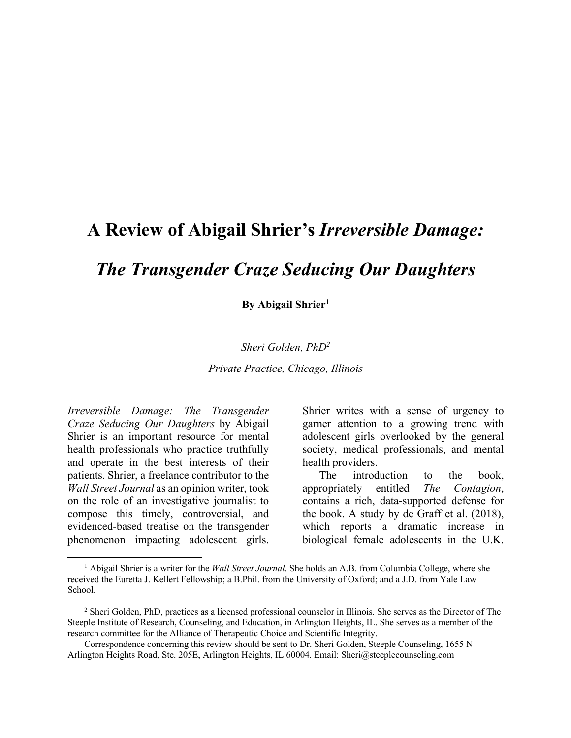# **A Review of Abigail Shrier's** *Irreversible Damage:*

# *The Transgender Craze Seducing Our Daughters*

**By Abigail Shrier1**

#### *Sheri Golden, PhD2*

*Private Practice, Chicago, Illinois*

*Irreversible Damage: The Transgender Craze Seducing Our Daughters* by Abigail Shrier is an important resource for mental health professionals who practice truthfully and operate in the best interests of their patients. Shrier, a freelance contributor to the *Wall Street Journal* as an opinion writer, took on the role of an investigative journalist to compose this timely, controversial, and evidenced-based treatise on the transgender phenomenon impacting adolescent girls.

 $\overline{\phantom{a}}$ 

Shrier writes with a sense of urgency to garner attention to a growing trend with adolescent girls overlooked by the general society, medical professionals, and mental health providers.

The introduction to the book, appropriately entitled *The Contagion*, contains a rich, data-supported defense for the book. A study by de Graff et al. (2018), which reports a dramatic increase in biological female adolescents in the U.K.

<sup>1</sup> Abigail Shrier is a writer for the *Wall Street Journal*. She holds an A.B. from Columbia College, where she received the Euretta J. Kellert Fellowship; a B.Phil. from the University of Oxford; and a J.D. from Yale Law School.

<sup>2</sup> Sheri Golden, PhD, practices as a licensed professional counselor in Illinois. She serves as the Director of The Steeple Institute of Research, Counseling, and Education, in Arlington Heights, IL. She serves as a member of the research committee for the Alliance of Therapeutic Choice and Scientific Integrity.

Correspondence concerning this review should be sent to Dr. Sheri Golden, Steeple Counseling, 1655 N Arlington Heights Road, Ste. 205E, Arlington Heights, IL 60004. Email: Sheri@steeplecounseling.com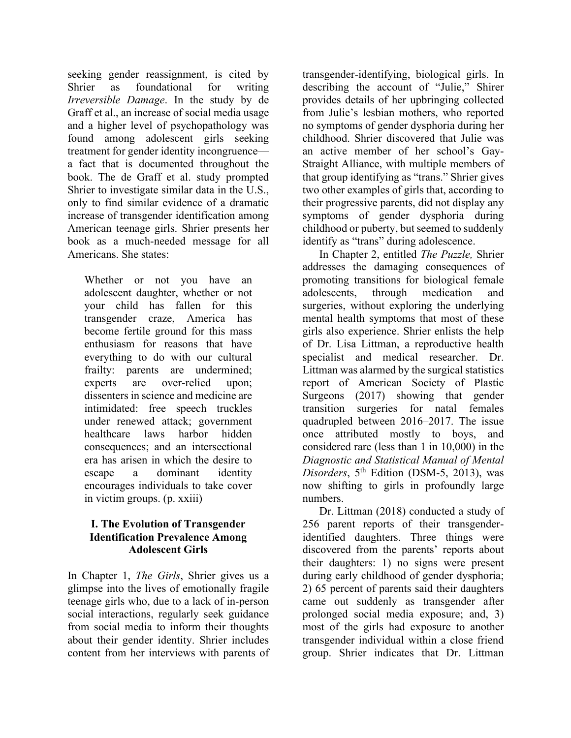seeking gender reassignment, is cited by Shrier as foundational for writing *Irreversible Damage*. In the study by de Graff et al., an increase of social media usage and a higher level of psychopathology was found among adolescent girls seeking treatment for gender identity incongruence a fact that is documented throughout the book. The de Graff et al. study prompted Shrier to investigate similar data in the U.S., only to find similar evidence of a dramatic increase of transgender identification among American teenage girls. Shrier presents her book as a much-needed message for all Americans. She states:

Whether or not you have an adolescent daughter, whether or not your child has fallen for this transgender craze, America has become fertile ground for this mass enthusiasm for reasons that have everything to do with our cultural frailty: parents are undermined; experts are over-relied upon; dissenters in science and medicine are intimidated: free speech truckles under renewed attack; government healthcare laws harbor hidden consequences; and an intersectional era has arisen in which the desire to escape a dominant identity encourages individuals to take cover in victim groups. (p. xxiii)

### **I. The Evolution of Transgender Identification Prevalence Among Adolescent Girls**

In Chapter 1, *The Girls*, Shrier gives us a glimpse into the lives of emotionally fragile teenage girls who, due to a lack of in-person social interactions, regularly seek guidance from social media to inform their thoughts about their gender identity. Shrier includes content from her interviews with parents of transgender-identifying, biological girls. In describing the account of "Julie," Shirer provides details of her upbringing collected from Julie's lesbian mothers, who reported no symptoms of gender dysphoria during her childhood. Shrier discovered that Julie was an active member of her school's Gay-Straight Alliance, with multiple members of that group identifying as "trans." Shrier gives two other examples of girls that, according to their progressive parents, did not display any symptoms of gender dysphoria during childhood or puberty, but seemed to suddenly identify as "trans" during adolescence.

In Chapter 2, entitled *The Puzzle,* Shrier addresses the damaging consequences of promoting transitions for biological female adolescents, through medication and surgeries, without exploring the underlying mental health symptoms that most of these girls also experience. Shrier enlists the help of Dr. Lisa Littman, a reproductive health specialist and medical researcher. Dr. Littman was alarmed by the surgical statistics report of American Society of Plastic Surgeons (2017) showing that gender transition surgeries for natal females quadrupled between 2016–2017. The issue once attributed mostly to boys, and considered rare (less than 1 in 10,000) in the *Diagnostic and Statistical Manual of Mental Disorders*, 5th Edition (DSM-5, 2013), was now shifting to girls in profoundly large numbers.

Dr. Littman (2018) conducted a study of 256 parent reports of their transgenderidentified daughters. Three things were discovered from the parents' reports about their daughters: 1) no signs were present during early childhood of gender dysphoria; 2) 65 percent of parents said their daughters came out suddenly as transgender after prolonged social media exposure; and, 3) most of the girls had exposure to another transgender individual within a close friend group. Shrier indicates that Dr. Littman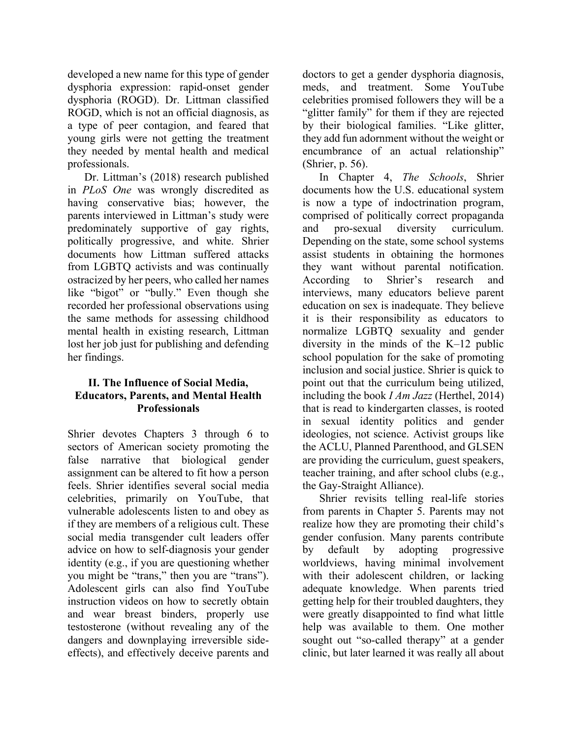developed a new name for this type of gender dysphoria expression: rapid-onset gender dysphoria (ROGD). Dr. Littman classified ROGD, which is not an official diagnosis, as a type of peer contagion, and feared that young girls were not getting the treatment they needed by mental health and medical professionals.

Dr. Littman's (2018) research published in *PLoS One* was wrongly discredited as having conservative bias; however, the parents interviewed in Littman's study were predominately supportive of gay rights, politically progressive, and white. Shrier documents how Littman suffered attacks from LGBTQ activists and was continually ostracized by her peers, who called her names like "bigot" or "bully." Even though she recorded her professional observations using the same methods for assessing childhood mental health in existing research, Littman lost her job just for publishing and defending her findings.

#### **II. The Influence of Social Media, Educators, Parents, and Mental Health Professionals**

Shrier devotes Chapters 3 through 6 to sectors of American society promoting the false narrative that biological gender assignment can be altered to fit how a person feels. Shrier identifies several social media celebrities, primarily on YouTube, that vulnerable adolescents listen to and obey as if they are members of a religious cult. These social media transgender cult leaders offer advice on how to self-diagnosis your gender identity (e.g., if you are questioning whether you might be "trans," then you are "trans"). Adolescent girls can also find YouTube instruction videos on how to secretly obtain and wear breast binders, properly use testosterone (without revealing any of the dangers and downplaying irreversible sideeffects), and effectively deceive parents and doctors to get a gender dysphoria diagnosis, meds, and treatment. Some YouTube celebrities promised followers they will be a "glitter family" for them if they are rejected by their biological families. "Like glitter, they add fun adornment without the weight or encumbrance of an actual relationship" (Shrier, p. 56).

In Chapter 4, *The Schools*, Shrier documents how the U.S. educational system is now a type of indoctrination program, comprised of politically correct propaganda and pro-sexual diversity curriculum. Depending on the state, some school systems assist students in obtaining the hormones they want without parental notification. According to Shrier's research and interviews, many educators believe parent education on sex is inadequate. They believe it is their responsibility as educators to normalize LGBTQ sexuality and gender diversity in the minds of the K–12 public school population for the sake of promoting inclusion and social justice. Shrier is quick to point out that the curriculum being utilized, including the book *I Am Jazz* (Herthel, 2014) that is read to kindergarten classes, is rooted in sexual identity politics and gender ideologies, not science. Activist groups like the ACLU, Planned Parenthood, and GLSEN are providing the curriculum, guest speakers, teacher training, and after school clubs (e.g., the Gay-Straight Alliance).

Shrier revisits telling real-life stories from parents in Chapter 5. Parents may not realize how they are promoting their child's gender confusion. Many parents contribute by default by adopting progressive worldviews, having minimal involvement with their adolescent children, or lacking adequate knowledge. When parents tried getting help for their troubled daughters, they were greatly disappointed to find what little help was available to them. One mother sought out "so-called therapy" at a gender clinic, but later learned it was really all about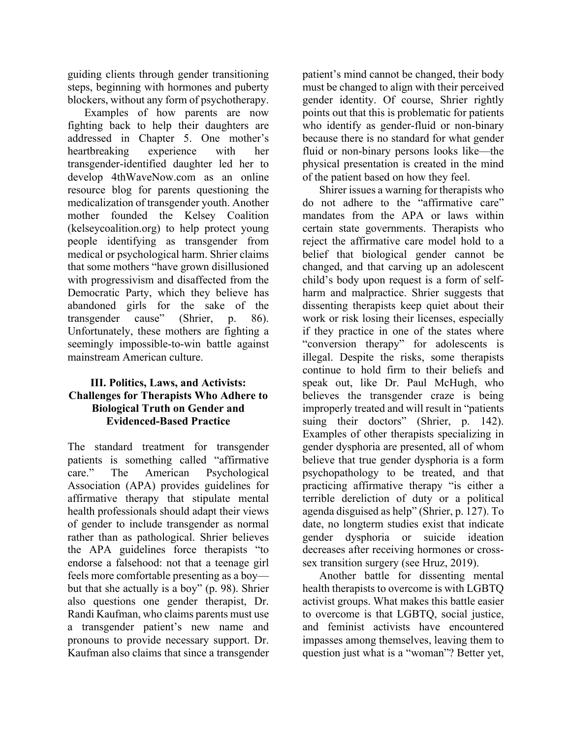guiding clients through gender transitioning steps, beginning with hormones and puberty blockers, without any form of psychotherapy.

Examples of how parents are now fighting back to help their daughters are addressed in Chapter 5. One mother's heartbreaking experience with her transgender-identified daughter led her to develop 4thWaveNow.com as an online resource blog for parents questioning the medicalization of transgender youth. Another mother founded the Kelsey Coalition (kelseycoalition.org) to help protect young people identifying as transgender from medical or psychological harm. Shrier claims that some mothers "have grown disillusioned with progressivism and disaffected from the Democratic Party, which they believe has abandoned girls for the sake of the transgender cause" (Shrier, p. 86). Unfortunately, these mothers are fighting a seemingly impossible-to-win battle against mainstream American culture.

#### **III. Politics, Laws, and Activists: Challenges for Therapists Who Adhere to Biological Truth on Gender and Evidenced-Based Practice**

The standard treatment for transgender patients is something called "affirmative care." The American Psychological Association (APA) provides guidelines for affirmative therapy that stipulate mental health professionals should adapt their views of gender to include transgender as normal rather than as pathological. Shrier believes the APA guidelines force therapists "to endorse a falsehood: not that a teenage girl feels more comfortable presenting as a boy but that she actually is a boy" (p. 98). Shrier also questions one gender therapist, Dr. Randi Kaufman, who claims parents must use a transgender patient's new name and pronouns to provide necessary support. Dr. Kaufman also claims that since a transgender

patient's mind cannot be changed, their body must be changed to align with their perceived gender identity. Of course, Shrier rightly points out that this is problematic for patients who identify as gender-fluid or non-binary because there is no standard for what gender fluid or non-binary persons looks like—the physical presentation is created in the mind of the patient based on how they feel.

Shirer issues a warning for therapists who do not adhere to the "affirmative care" mandates from the APA or laws within certain state governments. Therapists who reject the affirmative care model hold to a belief that biological gender cannot be changed, and that carving up an adolescent child's body upon request is a form of selfharm and malpractice. Shrier suggests that dissenting therapists keep quiet about their work or risk losing their licenses, especially if they practice in one of the states where "conversion therapy" for adolescents is illegal. Despite the risks, some therapists continue to hold firm to their beliefs and speak out, like Dr. Paul McHugh, who believes the transgender craze is being improperly treated and will result in "patients suing their doctors" (Shrier, p. 142). Examples of other therapists specializing in gender dysphoria are presented, all of whom believe that true gender dysphoria is a form psychopathology to be treated, and that practicing affirmative therapy "is either a terrible dereliction of duty or a political agenda disguised as help" (Shrier, p. 127). To date, no longterm studies exist that indicate gender dysphoria or suicide ideation decreases after receiving hormones or crosssex transition surgery (see Hruz, 2019).

Another battle for dissenting mental health therapists to overcome is with LGBTQ activist groups. What makes this battle easier to overcome is that LGBTQ, social justice, and feminist activists have encountered impasses among themselves, leaving them to question just what is a "woman"? Better yet,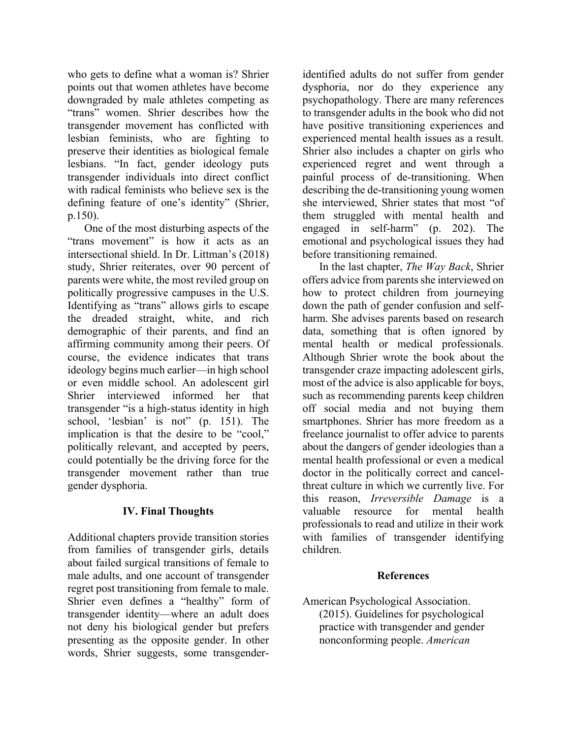who gets to define what a woman is? Shrier points out that women athletes have become downgraded by male athletes competing as "trans" women. Shrier describes how the transgender movement has conflicted with lesbian feminists, who are fighting to preserve their identities as biological female lesbians. "In fact, gender ideology puts transgender individuals into direct conflict with radical feminists who believe sex is the defining feature of one's identity" (Shrier, p.150).

One of the most disturbing aspects of the "trans movement" is how it acts as an intersectional shield. In Dr. Littman's (2018) study, Shrier reiterates, over 90 percent of parents were white, the most reviled group on politically progressive campuses in the U.S. Identifying as "trans" allows girls to escape the dreaded straight, white, and rich demographic of their parents, and find an affirming community among their peers. Of course, the evidence indicates that trans ideology begins much earlier—in high school or even middle school. An adolescent girl Shrier interviewed informed her that transgender "is a high-status identity in high school, 'lesbian' is not" (p. 151). The implication is that the desire to be "cool," politically relevant, and accepted by peers, could potentially be the driving force for the transgender movement rather than true gender dysphoria.

### **IV. Final Thoughts**

Additional chapters provide transition stories from families of transgender girls, details about failed surgical transitions of female to male adults, and one account of transgender regret post transitioning from female to male. Shrier even defines a "healthy" form of transgender identity—where an adult does not deny his biological gender but prefers presenting as the opposite gender. In other words, Shrier suggests, some transgenderidentified adults do not suffer from gender dysphoria, nor do they experience any psychopathology. There are many references to transgender adults in the book who did not have positive transitioning experiences and experienced mental health issues as a result. Shrier also includes a chapter on girls who experienced regret and went through a painful process of de-transitioning. When describing the de-transitioning young women she interviewed, Shrier states that most "of them struggled with mental health and engaged in self-harm" (p. 202). The emotional and psychological issues they had before transitioning remained.

In the last chapter, *The Way Back*, Shrier offers advice from parents she interviewed on how to protect children from journeying down the path of gender confusion and selfharm. She advises parents based on research data, something that is often ignored by mental health or medical professionals. Although Shrier wrote the book about the transgender craze impacting adolescent girls, most of the advice is also applicable for boys, such as recommending parents keep children off social media and not buying them smartphones. Shrier has more freedom as a freelance journalist to offer advice to parents about the dangers of gender ideologies than a mental health professional or even a medical doctor in the politically correct and cancelthreat culture in which we currently live. For this reason, *Irreversible Damage* is a valuable resource for mental health professionals to read and utilize in their work with families of transgender identifying children.

#### **References**

American Psychological Association. (2015). Guidelines for psychological practice with transgender and gender nonconforming people. *American*